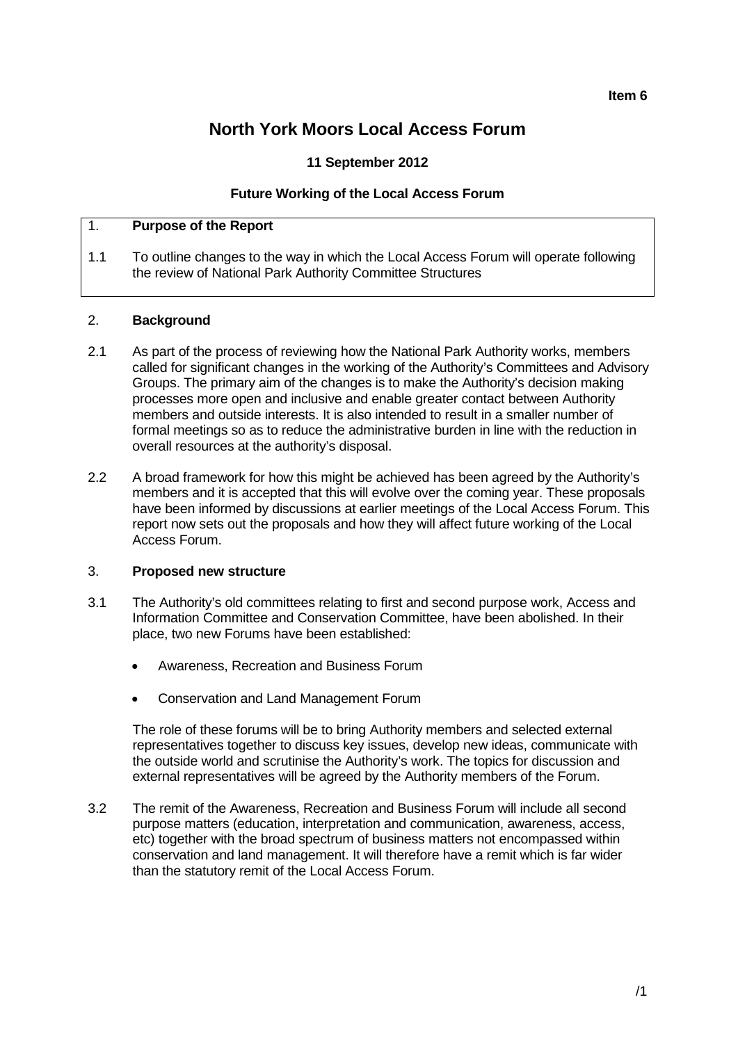# **North York Moors Local Access Forum**

# **11 September 2012**

## **Future Working of the Local Access Forum**

# 1. **Purpose of the Report**

1.1 To outline changes to the way in which the Local Access Forum will operate following the review of National Park Authority Committee Structures

#### 2. **Background**

- 2.1 As part of the process of reviewing how the National Park Authority works, members called for significant changes in the working of the Authority's Committees and Advisory Groups. The primary aim of the changes is to make the Authority's decision making processes more open and inclusive and enable greater contact between Authority members and outside interests. It is also intended to result in a smaller number of formal meetings so as to reduce the administrative burden in line with the reduction in overall resources at the authority's disposal.
- 2.2 A broad framework for how this might be achieved has been agreed by the Authority's members and it is accepted that this will evolve over the coming year. These proposals have been informed by discussions at earlier meetings of the Local Access Forum. This report now sets out the proposals and how they will affect future working of the Local Access Forum.

#### 3. **Proposed new structure**

- 3.1 The Authority's old committees relating to first and second purpose work, Access and Information Committee and Conservation Committee, have been abolished. In their place, two new Forums have been established:
	- Awareness, Recreation and Business Forum
	- Conservation and Land Management Forum

The role of these forums will be to bring Authority members and selected external representatives together to discuss key issues, develop new ideas, communicate with the outside world and scrutinise the Authority's work. The topics for discussion and external representatives will be agreed by the Authority members of the Forum.

3.2 The remit of the Awareness, Recreation and Business Forum will include all second purpose matters (education, interpretation and communication, awareness, access, etc) together with the broad spectrum of business matters not encompassed within conservation and land management. It will therefore have a remit which is far wider than the statutory remit of the Local Access Forum.